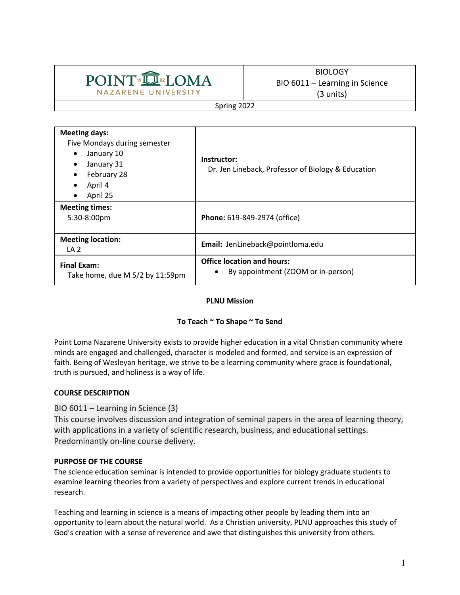# **POINT DELOMA NAZARENE UNIVERSITY**

# BIOLOGY BIO 6011 – Learning in Science (3 units)

Spring 2022

| <b>Meeting days:</b><br>Five Mondays during semester<br>January 10<br>$\bullet$<br>January 31<br>$\bullet$<br>February 28<br>$\bullet$<br>April 4<br>$\bullet$<br>April 25<br>$\bullet$ | Instructor:<br>Dr. Jen Lineback, Professor of Biology & Education            |  |  |
|-----------------------------------------------------------------------------------------------------------------------------------------------------------------------------------------|------------------------------------------------------------------------------|--|--|
| <b>Meeting times:</b><br>$5:30-8:00$ pm                                                                                                                                                 | Phone: 619-849-2974 (office)                                                 |  |  |
| <b>Meeting location:</b><br>LA <sub>2</sub>                                                                                                                                             | Email: JenLineback@pointloma.edu                                             |  |  |
| <b>Final Exam:</b><br>Take home, due M 5/2 by 11:59pm                                                                                                                                   | <b>Office location and hours:</b><br>By appointment (ZOOM or in-person)<br>٠ |  |  |

## **PLNU Mission**

## **To Teach ~ To Shape ~ To Send**

Point Loma Nazarene University exists to provide higher education in a vital Christian community where minds are engaged and challenged, character is modeled and formed, and service is an expression of faith. Being of Wesleyan heritage, we strive to be a learning community where grace is foundational, truth is pursued, and holiness is a way of life.

## **COURSE DESCRIPTION**

## BIO 6011 – Learning in Science (3)

This course involves discussion and integration of seminal papers in the area of learning theory, with applications in a variety of scientific research, business, and educational settings. Predominantly on-line course delivery.

## **PURPOSE OF THE COURSE**

The science education seminar is intended to provide opportunities for biology graduate students to examine learning theories from a variety of perspectives and explore current trends in educational research.

Teaching and learning in science is a means of impacting other people by leading them into an opportunity to learn about the natural world. As a Christian university, PLNU approaches this study of God's creation with a sense of reverence and awe that distinguishes this university from others.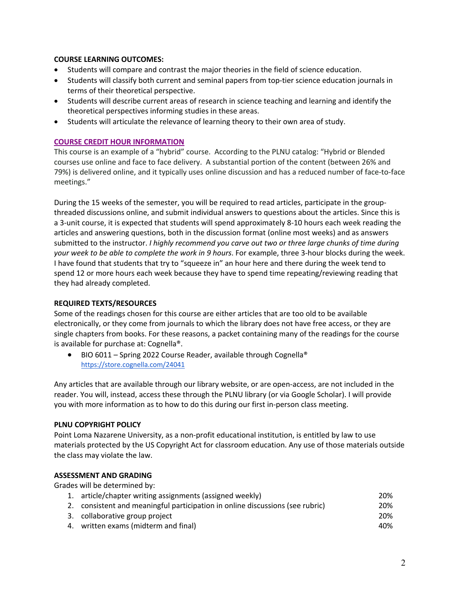## **COURSE LEARNING OUTCOMES:**

- Students will compare and contrast the major theories in the field of science education.
- Students will classify both current and seminal papers from top-tier science education journals in terms of their theoretical perspective.
- Students will describe current areas of research in science teaching and learning and identify the theoretical perspectives informing studies in these areas.
- Students will articulate the relevance of learning theory to their own area of study.

## **COURSE CREDIT HOUR INFORMATION**

This course is an example of a "hybrid" course. According to the PLNU catalog: "Hybrid or Blended courses use online and face to face delivery. A substantial portion of the content (between 26% and 79%) is delivered online, and it typically uses online discussion and has a reduced number of face-to-face meetings."

During the 15 weeks of the semester, you will be required to read articles, participate in the groupthreaded discussions online, and submit individual answers to questions about the articles. Since this is a 3-unit course, it is expected that students will spend approximately 8-10 hours each week reading the articles and answering questions, both in the discussion format (online most weeks) and as answers submitted to the instructor. *I highly recommend you carve out two or three large chunks of time during your week to be able to complete the work in 9 hours*. For example, three 3-hour blocks during the week. I have found that students that try to "squeeze in" an hour here and there during the week tend to spend 12 or more hours each week because they have to spend time repeating/reviewing reading that they had already completed.

## **REQUIRED TEXTS/RESOURCES**

Some of the readings chosen for this course are either articles that are too old to be available electronically, or they come from journals to which the library does not have free access, or they are single chapters from books. For these reasons, a packet containing many of the readings for the course is available for purchase at: Cognella®.

● BIO 6011 – Spring 2022 Course Reader, available through Cognella<sup>®</sup> https://store.cognella.com/24041

Any articles that are available through our library website, or are open-access, are not included in the reader. You will, instead, access these through the PLNU library (or via Google Scholar). I will provide you with more information as to how to do this during our first in-person class meeting.

## **PLNU COPYRIGHT POLICY**

Point Loma Nazarene University, as a non-profit educational institution, is entitled by law to use materials protected by the US Copyright Act for classroom education. Any use of those materials outside the class may violate the law.

## **ASSESSMENT AND GRADING**

Grades will be determined by:

| 1. article/chapter writing assignments (assigned weekly)                      | 20% |
|-------------------------------------------------------------------------------|-----|
| 2. consistent and meaningful participation in online discussions (see rubric) | 20% |
| 3. collaborative group project                                                | 20% |
| 4. written exams (midterm and final)                                          | 40% |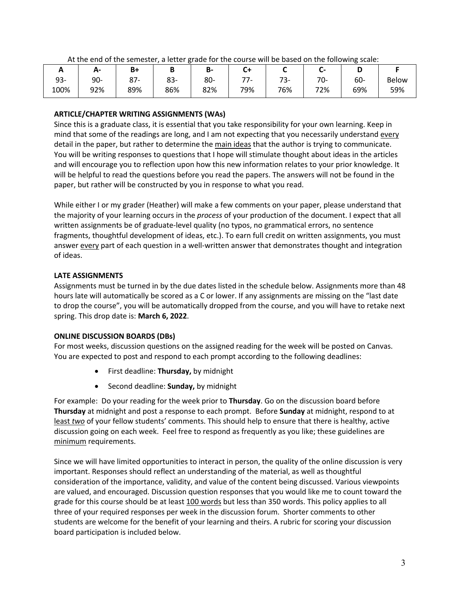| <u>_</u> | А-     | B+          | D   | D-  |     |           | -   |     |              |
|----------|--------|-------------|-----|-----|-----|-----------|-----|-----|--------------|
| $93 -$   | $90 -$ | ດ¬<br>o / - | 83- | 80- | --  | 72<br>75- | 70- | 60- | <b>Below</b> |
| 100%     | 92%    | 89%         | 86% | 82% | 79% | 76%       | 72% | 69% | 59%          |

At the end of the semester, a letter grade for the course will be based on the following scale:

## **ARTICLE/CHAPTER WRITING ASSIGNMENTS (WAs)**

Since this is a graduate class, it is essential that you take responsibility for your own learning. Keep in mind that some of the readings are long, and I am not expecting that you necessarily understand every detail in the paper, but rather to determine the main ideas that the author is trying to communicate. You will be writing responses to questions that I hope will stimulate thought about ideas in the articles and will encourage you to reflection upon how this new information relates to your prior knowledge. It will be helpful to read the questions before you read the papers. The answers will not be found in the paper, but rather will be constructed by you in response to what you read.

While either I or my grader (Heather) will make a few comments on your paper, please understand that the majority of your learning occurs in the *process* of your production of the document. I expect that all written assignments be of graduate-level quality (no typos, no grammatical errors, no sentence fragments, thoughtful development of ideas, etc.). To earn full credit on written assignments, you must answer every part of each question in a well-written answer that demonstrates thought and integration of ideas.

## **LATE ASSIGNMENTS**

Assignments must be turned in by the due dates listed in the schedule below. Assignments more than 48 hours late will automatically be scored as a C or lower. If any assignments are missing on the "last date to drop the course", you will be automatically dropped from the course, and you will have to retake next spring. This drop date is: **March 6, 2022**.

## **ONLINE DISCUSSION BOARDS (DBs)**

For most weeks, discussion questions on the assigned reading for the week will be posted on Canvas. You are expected to post and respond to each prompt according to the following deadlines:

- First deadline: **Thursday,** by midnight
- Second deadline: **Sunday,** by midnight

For example: Do your reading for the week prior to **Thursday**. Go on the discussion board before **Thursday** at midnight and post a response to each prompt. Before **Sunday** at midnight, respond to at least *two* of your fellow students' comments. This should help to ensure that there is healthy, active discussion going on each week. Feel free to respond as frequently as you like; these guidelines are minimum requirements.

Since we will have limited opportunities to interact in person, the quality of the online discussion is very important. Responses should reflect an understanding of the material, as well as thoughtful consideration of the importance, validity, and value of the content being discussed. Various viewpoints are valued, and encouraged. Discussion question responses that you would like me to count toward the grade for this course should be at least 100 words but less than 350 words. This policy applies to all three of your required responses per week in the discussion forum. Shorter comments to other students are welcome for the benefit of your learning and theirs. A rubric for scoring your discussion board participation is included below.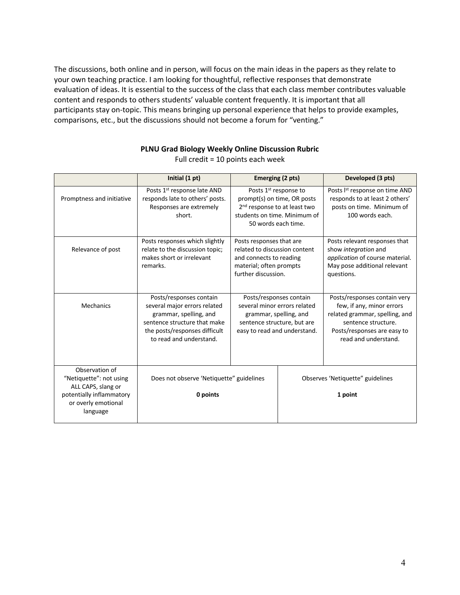The discussions, both online and in person, will focus on the main ideas in the papers as they relate to your own teaching practice. I am looking for thoughtful, reflective responses that demonstrate evaluation of ideas. It is essential to the success of the class that each class member contributes valuable content and responds to others students' valuable content frequently. It is important that all participants stay on-topic. This means bringing up personal experience that helps to provide examples, comparisons, etc., but the discussions should not become a forum for "venting."

|                                                                                                                                | Initial (1 pt)                                                                                                                                                                | Emerging (2 pts)                                                                                                                                                    |                                             | Developed (3 pts)                                                                                                                                                         |  |
|--------------------------------------------------------------------------------------------------------------------------------|-------------------------------------------------------------------------------------------------------------------------------------------------------------------------------|---------------------------------------------------------------------------------------------------------------------------------------------------------------------|---------------------------------------------|---------------------------------------------------------------------------------------------------------------------------------------------------------------------------|--|
| Promptness and initiative                                                                                                      | Posts 1 <sup>st</sup> response late AND<br>responds late to others' posts.<br>Responses are extremely<br>short.                                                               | Posts 1 <sup>st</sup> response to<br>prompt(s) on time, OR posts<br>2 <sup>nd</sup> response to at least two<br>students on time. Minimum of<br>50 words each time. |                                             | Posts Ist response on time AND<br>responds to at least 2 others'<br>posts on time. Minimum of<br>100 words each.                                                          |  |
| Relevance of post                                                                                                              | Posts responses which slightly<br>relate to the discussion topic;<br>makes short or irrelevant<br>remarks.                                                                    | Posts responses that are<br>related to discussion content<br>and connects to reading<br>material; often prompts<br>further discussion.                              |                                             | Posts relevant responses that<br>show integration and<br>application of course material.<br>May pose additional relevant<br>questions.                                    |  |
| Mechanics                                                                                                                      | Posts/responses contain<br>several major errors related<br>grammar, spelling, and<br>sentence structure that make<br>the posts/responses difficult<br>to read and understand. | Posts/responses contain<br>several minor errors related<br>grammar, spelling, and<br>sentence structure, but are<br>easy to read and understand.                    |                                             | Posts/responses contain very<br>few, if any, minor errors<br>related grammar, spelling, and<br>sentence structure.<br>Posts/responses are easy to<br>read and understand. |  |
| Observation of<br>"Netiquette": not using<br>ALL CAPS, slang or<br>potentially inflammatory<br>or overly emotional<br>language | Does not observe 'Netiquette" guidelines<br>0 points                                                                                                                          |                                                                                                                                                                     | Observes 'Netiquette" guidelines<br>1 point |                                                                                                                                                                           |  |

## **PLNU Grad Biology Weekly Online Discussion Rubric**

Full credit = 10 points each week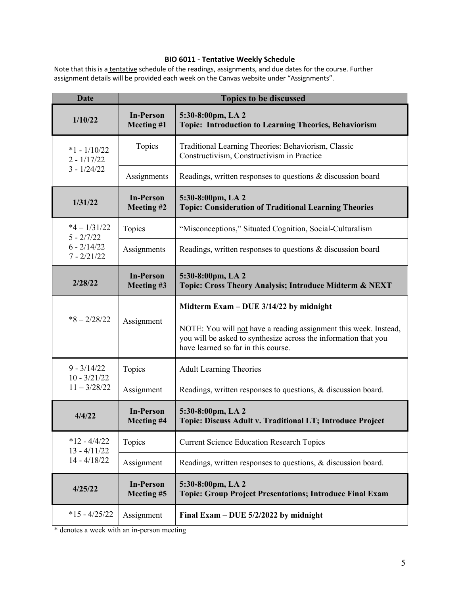# **BIO 6011 - Tentative Weekly Schedule**

Note that this is a tentative schedule of the readings, assignments, and due dates for the course. Further assignment details will be provided each week on the Canvas website under "Assignments".

| <b>Date</b>                                        | <b>Topics to be discussed</b>  |                                                                                                                                                                            |  |  |
|----------------------------------------------------|--------------------------------|----------------------------------------------------------------------------------------------------------------------------------------------------------------------------|--|--|
| 1/10/22                                            | <b>In-Person</b><br>Meeting #1 | 5:30-8:00pm, LA 2<br>Topic: Introduction to Learning Theories, Behaviorism                                                                                                 |  |  |
| $*1 - 1/10/22$<br>$2 - 1/17/22$<br>$3 - 1/24/22$   | Topics                         | Traditional Learning Theories: Behaviorism, Classic<br>Constructivism, Constructivism in Practice                                                                          |  |  |
|                                                    | Assignments                    | Readings, written responses to questions & discussion board                                                                                                                |  |  |
| 1/31/22                                            | <b>In-Person</b><br>Meeting #2 | 5:30-8:00pm, LA 2<br><b>Topic: Consideration of Traditional Learning Theories</b>                                                                                          |  |  |
| $*4 - 1/31/22$<br>$5 - \frac{2}{7/22}$             | Topics                         | "Misconceptions," Situated Cognition, Social-Culturalism                                                                                                                   |  |  |
| $6 - 2/14/22$<br>$7 - 2/21/22$                     | Assignments                    | Readings, written responses to questions & discussion board                                                                                                                |  |  |
| 2/28/22                                            | <b>In-Person</b><br>Meeting #3 | 5:30-8:00pm, LA 2<br>Topic: Cross Theory Analysis; Introduce Midterm & NEXT                                                                                                |  |  |
| $*8 - 2/28/22$                                     | Assignment                     | Midterm Exam – DUE $3/14/22$ by midnight                                                                                                                                   |  |  |
|                                                    |                                | NOTE: You will not have a reading assignment this week. Instead,<br>you will be asked to synthesize across the information that you<br>have learned so far in this course. |  |  |
| $9 - 3/14/22$<br>$10 - \frac{3}{21/22}$            | Topics                         | <b>Adult Learning Theories</b>                                                                                                                                             |  |  |
| $11 - \frac{3}{28/22}$                             | Assignment                     | Readings, written responses to questions, & discussion board.                                                                                                              |  |  |
| 4/4/22                                             | <b>In-Person</b><br>Meeting #4 | 5:30-8:00pm, LA 2<br>Topic: Discuss Adult v. Traditional LT; Introduce Project                                                                                             |  |  |
| $*12 - 4/4/22$<br>$13 - 4/11/22$<br>$14 - 4/18/22$ | Topics                         | <b>Current Science Education Research Topics</b>                                                                                                                           |  |  |
|                                                    | Assignment                     | Readings, written responses to questions, & discussion board.                                                                                                              |  |  |
| 4/25/22                                            | <b>In-Person</b><br>Meeting #5 | 5:30-8:00pm, LA 2<br><b>Topic: Group Project Presentations; Introduce Final Exam</b>                                                                                       |  |  |
| $*15 - 4/25/22$                                    | Assignment                     | Final Exam – DUE $5/2/2022$ by midnight                                                                                                                                    |  |  |

\* denotes a week with an in-person meeting